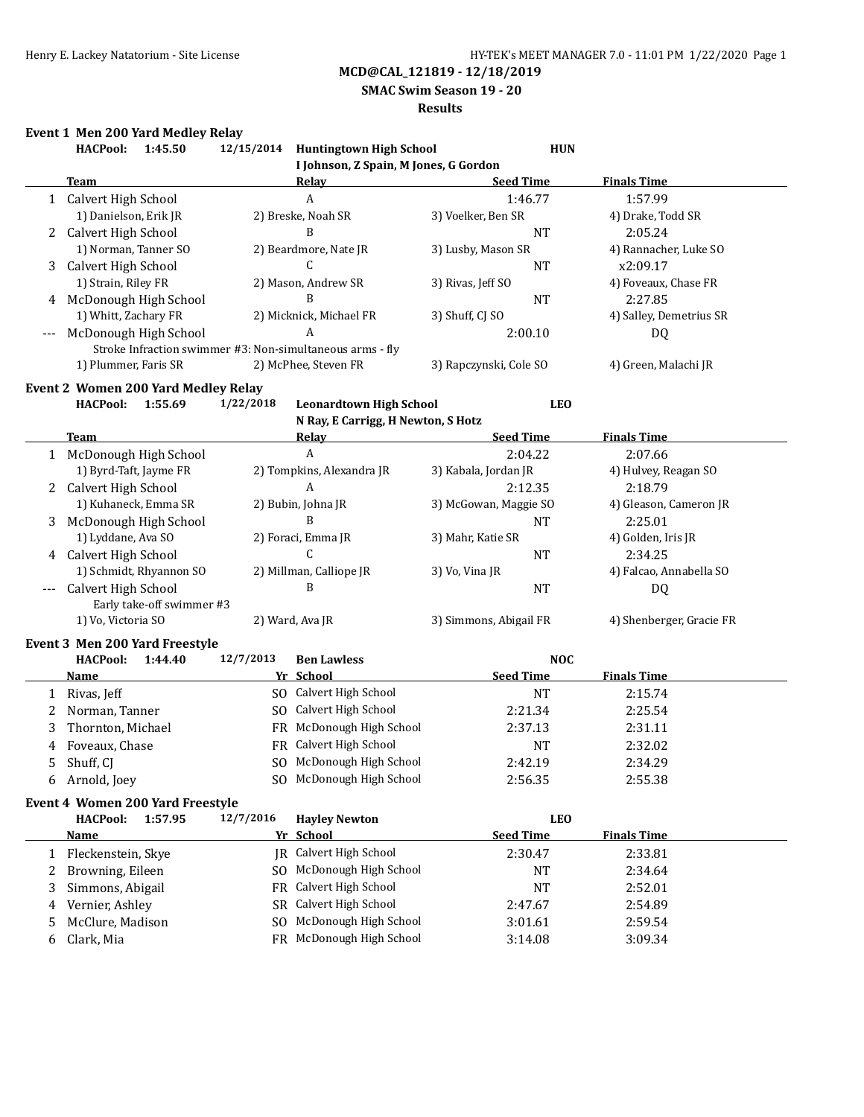**SMAC Swim Season 19 - 20**

#### **Results**

# **Event 1 Men 200 Yard Medley Relay**

| I Johnson, Z Spain, M Jones, G Gordon<br><b>Seed Time</b><br><b>Team</b><br><b>Finals Time</b><br><u>Relay</u><br>A<br>Calvert High School<br>1:46.77<br>1:57.99<br>1<br>1) Danielson, Erik JR<br>2) Breske, Noah SR<br>3) Voelker, Ben SR<br>4) Drake, Todd SR<br>B<br>Calvert High School<br><b>NT</b><br>2:05.24<br>2<br>1) Norman, Tanner SO<br>3) Lusby, Mason SR<br>2) Beardmore, Nate JR<br>4) Rannacher, Luke SO<br>Calvert High School<br>C.<br><b>NT</b><br>x2:09.17<br>3<br>1) Strain, Riley FR<br>2) Mason, Andrew SR<br>3) Rivas, Jeff SO<br>4) Foveaux, Chase FR<br>McDonough High School<br>B<br>2:27.85<br><b>NT</b><br>4<br>1) Whitt, Zachary FR<br>2) Micknick, Michael FR<br>4) Salley, Demetrius SR<br>3) Shuff, CJ SO<br>A<br>McDonough High School<br>2:00.10<br>DQ<br>Stroke Infraction swimmer #3: Non-simultaneous arms - fly<br>1) Plummer, Faris SR<br>2) McPhee, Steven FR<br>3) Rapczynski, Cole SO<br>4) Green, Malachi JR<br>Event 2 Women 200 Yard Medley Relay<br><b>HACPool:</b><br>1:55.69<br>1/22/2018<br><b>Leonardtown High School</b><br><b>LEO</b><br>N Ray, E Carrigg, H Newton, S Hotz<br><b>Seed Time</b><br><b>Finals Time</b><br><b>Team</b><br><b>Relay</b><br>1 McDonough High School<br>A<br>2:04.22<br>2:07.66<br>1) Byrd-Taft, Jayme FR<br>2) Tompkins, Alexandra JR<br>3) Kabala, Jordan JR<br>4) Hulvey, Reagan SO<br>Calvert High School<br>A<br>2:12.35<br>2:18.79<br>2<br>1) Kuhaneck, Emma SR<br>2) Bubin, Johna JR<br>3) McGowan, Maggie SO<br>4) Gleason, Cameron JR<br>B<br>McDonough High School<br>2:25.01<br>3<br><b>NT</b><br>1) Lyddane, Ava SO<br>2) Foraci, Emma JR<br>4) Golden, Iris JR<br>3) Mahr, Katie SR<br>C<br>Calvert High School<br>2:34.25<br>NT<br>4<br>1) Schmidt, Rhyannon SO<br>2) Millman, Calliope JR<br>4) Falcao, Annabella SO<br>3) Vo, Vina JR<br>Calvert High School<br>B<br>NT<br>DQ<br>Early take-off swimmer #3<br>1) Vo, Victoria SO<br>2) Ward, Ava JR<br>3) Simmons, Abigail FR<br>4) Shenberger, Gracie FR<br>Event 3 Men 200 Yard Freestyle<br><b>HACPool:</b><br>12/7/2013<br><b>NOC</b><br>1:44.40<br><b>Ben Lawless</b><br>Yr School<br><b>Seed Time</b><br><b>Finals Time</b><br><u>Name</u><br>SO Calvert High School<br>NT<br>Rivas, Jeff<br>2:15.74<br>1<br>SO Calvert High School<br>Norman, Tanner<br>2:21.34<br>2:25.54<br>2<br>Thornton, Michael<br>FR McDonough High School<br>3<br>2:37.13<br>2:31.11<br>Calvert High School<br>Foveaux, Chase<br><b>FR</b><br><b>NT</b><br>2:32.02<br>4<br>SO McDonough High School<br>5<br>Shuff, CJ<br>2:42.19<br>2:34.29<br>SO McDonough High School<br>Arnold, Joey<br>2:56.35<br>2:55.38<br>6<br><b>Event 4 Women 200 Yard Freestyle</b><br>12/7/2016<br><b>LEO</b><br><b>HACPool:</b><br>1:57.95<br><b>Hayley Newton</b><br>Yr School<br><b>Seed Time</b><br><b>Finals Time</b><br><u>Name</u><br>JR Calvert High School<br>Fleckenstein, Skye<br>2:30.47<br>2:33.81<br>1<br>McDonough High School<br>Browning, Eileen<br>2:34.64<br>SO.<br>NT<br>2<br>Calvert High School<br>Simmons, Abigail<br>NT<br>2:52.01<br>3<br>FR<br>Calvert High School<br>Vernier, Ashley<br>2:47.67<br>2:54.89<br>SR<br>4<br>McDonough High School<br>McClure, Madison<br>3:01.61<br>2:59.54<br>5<br>S <sub>0</sub><br>FR McDonough High School<br>3:09.34<br>3:14.08<br>6 | <b>HACPool:</b> | 1:45.50 | 12/15/2014 Huntingtown High School | <b>HUN</b> |
|------------------------------------------------------------------------------------------------------------------------------------------------------------------------------------------------------------------------------------------------------------------------------------------------------------------------------------------------------------------------------------------------------------------------------------------------------------------------------------------------------------------------------------------------------------------------------------------------------------------------------------------------------------------------------------------------------------------------------------------------------------------------------------------------------------------------------------------------------------------------------------------------------------------------------------------------------------------------------------------------------------------------------------------------------------------------------------------------------------------------------------------------------------------------------------------------------------------------------------------------------------------------------------------------------------------------------------------------------------------------------------------------------------------------------------------------------------------------------------------------------------------------------------------------------------------------------------------------------------------------------------------------------------------------------------------------------------------------------------------------------------------------------------------------------------------------------------------------------------------------------------------------------------------------------------------------------------------------------------------------------------------------------------------------------------------------------------------------------------------------------------------------------------------------------------------------------------------------------------------------------------------------------------------------------------------------------------------------------------------------------------------------------------------------------------------------------------------------------------------------------------------------------------------------------------------------------------------------------------------------------------------------------------------------------------------------------------------------------------------------------------------------------------------------------------------------------------------------------------------------------------------------------------------------------------------------------------------------------------------------------------------------------------------------------------------------------------------------------------------------------------------------------------------------------------------------------------------------------------------------------------------------------------------------------------|-----------------|---------|------------------------------------|------------|
|                                                                                                                                                                                                                                                                                                                                                                                                                                                                                                                                                                                                                                                                                                                                                                                                                                                                                                                                                                                                                                                                                                                                                                                                                                                                                                                                                                                                                                                                                                                                                                                                                                                                                                                                                                                                                                                                                                                                                                                                                                                                                                                                                                                                                                                                                                                                                                                                                                                                                                                                                                                                                                                                                                                                                                                                                                                                                                                                                                                                                                                                                                                                                                                                                                                                                                            |                 |         |                                    |            |
|                                                                                                                                                                                                                                                                                                                                                                                                                                                                                                                                                                                                                                                                                                                                                                                                                                                                                                                                                                                                                                                                                                                                                                                                                                                                                                                                                                                                                                                                                                                                                                                                                                                                                                                                                                                                                                                                                                                                                                                                                                                                                                                                                                                                                                                                                                                                                                                                                                                                                                                                                                                                                                                                                                                                                                                                                                                                                                                                                                                                                                                                                                                                                                                                                                                                                                            |                 |         |                                    |            |
|                                                                                                                                                                                                                                                                                                                                                                                                                                                                                                                                                                                                                                                                                                                                                                                                                                                                                                                                                                                                                                                                                                                                                                                                                                                                                                                                                                                                                                                                                                                                                                                                                                                                                                                                                                                                                                                                                                                                                                                                                                                                                                                                                                                                                                                                                                                                                                                                                                                                                                                                                                                                                                                                                                                                                                                                                                                                                                                                                                                                                                                                                                                                                                                                                                                                                                            |                 |         |                                    |            |
|                                                                                                                                                                                                                                                                                                                                                                                                                                                                                                                                                                                                                                                                                                                                                                                                                                                                                                                                                                                                                                                                                                                                                                                                                                                                                                                                                                                                                                                                                                                                                                                                                                                                                                                                                                                                                                                                                                                                                                                                                                                                                                                                                                                                                                                                                                                                                                                                                                                                                                                                                                                                                                                                                                                                                                                                                                                                                                                                                                                                                                                                                                                                                                                                                                                                                                            |                 |         |                                    |            |
|                                                                                                                                                                                                                                                                                                                                                                                                                                                                                                                                                                                                                                                                                                                                                                                                                                                                                                                                                                                                                                                                                                                                                                                                                                                                                                                                                                                                                                                                                                                                                                                                                                                                                                                                                                                                                                                                                                                                                                                                                                                                                                                                                                                                                                                                                                                                                                                                                                                                                                                                                                                                                                                                                                                                                                                                                                                                                                                                                                                                                                                                                                                                                                                                                                                                                                            |                 |         |                                    |            |
|                                                                                                                                                                                                                                                                                                                                                                                                                                                                                                                                                                                                                                                                                                                                                                                                                                                                                                                                                                                                                                                                                                                                                                                                                                                                                                                                                                                                                                                                                                                                                                                                                                                                                                                                                                                                                                                                                                                                                                                                                                                                                                                                                                                                                                                                                                                                                                                                                                                                                                                                                                                                                                                                                                                                                                                                                                                                                                                                                                                                                                                                                                                                                                                                                                                                                                            |                 |         |                                    |            |
|                                                                                                                                                                                                                                                                                                                                                                                                                                                                                                                                                                                                                                                                                                                                                                                                                                                                                                                                                                                                                                                                                                                                                                                                                                                                                                                                                                                                                                                                                                                                                                                                                                                                                                                                                                                                                                                                                                                                                                                                                                                                                                                                                                                                                                                                                                                                                                                                                                                                                                                                                                                                                                                                                                                                                                                                                                                                                                                                                                                                                                                                                                                                                                                                                                                                                                            |                 |         |                                    |            |
|                                                                                                                                                                                                                                                                                                                                                                                                                                                                                                                                                                                                                                                                                                                                                                                                                                                                                                                                                                                                                                                                                                                                                                                                                                                                                                                                                                                                                                                                                                                                                                                                                                                                                                                                                                                                                                                                                                                                                                                                                                                                                                                                                                                                                                                                                                                                                                                                                                                                                                                                                                                                                                                                                                                                                                                                                                                                                                                                                                                                                                                                                                                                                                                                                                                                                                            |                 |         |                                    |            |
|                                                                                                                                                                                                                                                                                                                                                                                                                                                                                                                                                                                                                                                                                                                                                                                                                                                                                                                                                                                                                                                                                                                                                                                                                                                                                                                                                                                                                                                                                                                                                                                                                                                                                                                                                                                                                                                                                                                                                                                                                                                                                                                                                                                                                                                                                                                                                                                                                                                                                                                                                                                                                                                                                                                                                                                                                                                                                                                                                                                                                                                                                                                                                                                                                                                                                                            |                 |         |                                    |            |
|                                                                                                                                                                                                                                                                                                                                                                                                                                                                                                                                                                                                                                                                                                                                                                                                                                                                                                                                                                                                                                                                                                                                                                                                                                                                                                                                                                                                                                                                                                                                                                                                                                                                                                                                                                                                                                                                                                                                                                                                                                                                                                                                                                                                                                                                                                                                                                                                                                                                                                                                                                                                                                                                                                                                                                                                                                                                                                                                                                                                                                                                                                                                                                                                                                                                                                            |                 |         |                                    |            |
|                                                                                                                                                                                                                                                                                                                                                                                                                                                                                                                                                                                                                                                                                                                                                                                                                                                                                                                                                                                                                                                                                                                                                                                                                                                                                                                                                                                                                                                                                                                                                                                                                                                                                                                                                                                                                                                                                                                                                                                                                                                                                                                                                                                                                                                                                                                                                                                                                                                                                                                                                                                                                                                                                                                                                                                                                                                                                                                                                                                                                                                                                                                                                                                                                                                                                                            |                 |         |                                    |            |
|                                                                                                                                                                                                                                                                                                                                                                                                                                                                                                                                                                                                                                                                                                                                                                                                                                                                                                                                                                                                                                                                                                                                                                                                                                                                                                                                                                                                                                                                                                                                                                                                                                                                                                                                                                                                                                                                                                                                                                                                                                                                                                                                                                                                                                                                                                                                                                                                                                                                                                                                                                                                                                                                                                                                                                                                                                                                                                                                                                                                                                                                                                                                                                                                                                                                                                            |                 |         |                                    |            |
|                                                                                                                                                                                                                                                                                                                                                                                                                                                                                                                                                                                                                                                                                                                                                                                                                                                                                                                                                                                                                                                                                                                                                                                                                                                                                                                                                                                                                                                                                                                                                                                                                                                                                                                                                                                                                                                                                                                                                                                                                                                                                                                                                                                                                                                                                                                                                                                                                                                                                                                                                                                                                                                                                                                                                                                                                                                                                                                                                                                                                                                                                                                                                                                                                                                                                                            |                 |         |                                    |            |
|                                                                                                                                                                                                                                                                                                                                                                                                                                                                                                                                                                                                                                                                                                                                                                                                                                                                                                                                                                                                                                                                                                                                                                                                                                                                                                                                                                                                                                                                                                                                                                                                                                                                                                                                                                                                                                                                                                                                                                                                                                                                                                                                                                                                                                                                                                                                                                                                                                                                                                                                                                                                                                                                                                                                                                                                                                                                                                                                                                                                                                                                                                                                                                                                                                                                                                            |                 |         |                                    |            |
|                                                                                                                                                                                                                                                                                                                                                                                                                                                                                                                                                                                                                                                                                                                                                                                                                                                                                                                                                                                                                                                                                                                                                                                                                                                                                                                                                                                                                                                                                                                                                                                                                                                                                                                                                                                                                                                                                                                                                                                                                                                                                                                                                                                                                                                                                                                                                                                                                                                                                                                                                                                                                                                                                                                                                                                                                                                                                                                                                                                                                                                                                                                                                                                                                                                                                                            |                 |         |                                    |            |
|                                                                                                                                                                                                                                                                                                                                                                                                                                                                                                                                                                                                                                                                                                                                                                                                                                                                                                                                                                                                                                                                                                                                                                                                                                                                                                                                                                                                                                                                                                                                                                                                                                                                                                                                                                                                                                                                                                                                                                                                                                                                                                                                                                                                                                                                                                                                                                                                                                                                                                                                                                                                                                                                                                                                                                                                                                                                                                                                                                                                                                                                                                                                                                                                                                                                                                            |                 |         |                                    |            |
|                                                                                                                                                                                                                                                                                                                                                                                                                                                                                                                                                                                                                                                                                                                                                                                                                                                                                                                                                                                                                                                                                                                                                                                                                                                                                                                                                                                                                                                                                                                                                                                                                                                                                                                                                                                                                                                                                                                                                                                                                                                                                                                                                                                                                                                                                                                                                                                                                                                                                                                                                                                                                                                                                                                                                                                                                                                                                                                                                                                                                                                                                                                                                                                                                                                                                                            |                 |         |                                    |            |
|                                                                                                                                                                                                                                                                                                                                                                                                                                                                                                                                                                                                                                                                                                                                                                                                                                                                                                                                                                                                                                                                                                                                                                                                                                                                                                                                                                                                                                                                                                                                                                                                                                                                                                                                                                                                                                                                                                                                                                                                                                                                                                                                                                                                                                                                                                                                                                                                                                                                                                                                                                                                                                                                                                                                                                                                                                                                                                                                                                                                                                                                                                                                                                                                                                                                                                            |                 |         |                                    |            |
|                                                                                                                                                                                                                                                                                                                                                                                                                                                                                                                                                                                                                                                                                                                                                                                                                                                                                                                                                                                                                                                                                                                                                                                                                                                                                                                                                                                                                                                                                                                                                                                                                                                                                                                                                                                                                                                                                                                                                                                                                                                                                                                                                                                                                                                                                                                                                                                                                                                                                                                                                                                                                                                                                                                                                                                                                                                                                                                                                                                                                                                                                                                                                                                                                                                                                                            |                 |         |                                    |            |
|                                                                                                                                                                                                                                                                                                                                                                                                                                                                                                                                                                                                                                                                                                                                                                                                                                                                                                                                                                                                                                                                                                                                                                                                                                                                                                                                                                                                                                                                                                                                                                                                                                                                                                                                                                                                                                                                                                                                                                                                                                                                                                                                                                                                                                                                                                                                                                                                                                                                                                                                                                                                                                                                                                                                                                                                                                                                                                                                                                                                                                                                                                                                                                                                                                                                                                            |                 |         |                                    |            |
|                                                                                                                                                                                                                                                                                                                                                                                                                                                                                                                                                                                                                                                                                                                                                                                                                                                                                                                                                                                                                                                                                                                                                                                                                                                                                                                                                                                                                                                                                                                                                                                                                                                                                                                                                                                                                                                                                                                                                                                                                                                                                                                                                                                                                                                                                                                                                                                                                                                                                                                                                                                                                                                                                                                                                                                                                                                                                                                                                                                                                                                                                                                                                                                                                                                                                                            |                 |         |                                    |            |
|                                                                                                                                                                                                                                                                                                                                                                                                                                                                                                                                                                                                                                                                                                                                                                                                                                                                                                                                                                                                                                                                                                                                                                                                                                                                                                                                                                                                                                                                                                                                                                                                                                                                                                                                                                                                                                                                                                                                                                                                                                                                                                                                                                                                                                                                                                                                                                                                                                                                                                                                                                                                                                                                                                                                                                                                                                                                                                                                                                                                                                                                                                                                                                                                                                                                                                            |                 |         |                                    |            |
|                                                                                                                                                                                                                                                                                                                                                                                                                                                                                                                                                                                                                                                                                                                                                                                                                                                                                                                                                                                                                                                                                                                                                                                                                                                                                                                                                                                                                                                                                                                                                                                                                                                                                                                                                                                                                                                                                                                                                                                                                                                                                                                                                                                                                                                                                                                                                                                                                                                                                                                                                                                                                                                                                                                                                                                                                                                                                                                                                                                                                                                                                                                                                                                                                                                                                                            |                 |         |                                    |            |
|                                                                                                                                                                                                                                                                                                                                                                                                                                                                                                                                                                                                                                                                                                                                                                                                                                                                                                                                                                                                                                                                                                                                                                                                                                                                                                                                                                                                                                                                                                                                                                                                                                                                                                                                                                                                                                                                                                                                                                                                                                                                                                                                                                                                                                                                                                                                                                                                                                                                                                                                                                                                                                                                                                                                                                                                                                                                                                                                                                                                                                                                                                                                                                                                                                                                                                            |                 |         |                                    |            |
|                                                                                                                                                                                                                                                                                                                                                                                                                                                                                                                                                                                                                                                                                                                                                                                                                                                                                                                                                                                                                                                                                                                                                                                                                                                                                                                                                                                                                                                                                                                                                                                                                                                                                                                                                                                                                                                                                                                                                                                                                                                                                                                                                                                                                                                                                                                                                                                                                                                                                                                                                                                                                                                                                                                                                                                                                                                                                                                                                                                                                                                                                                                                                                                                                                                                                                            |                 |         |                                    |            |
|                                                                                                                                                                                                                                                                                                                                                                                                                                                                                                                                                                                                                                                                                                                                                                                                                                                                                                                                                                                                                                                                                                                                                                                                                                                                                                                                                                                                                                                                                                                                                                                                                                                                                                                                                                                                                                                                                                                                                                                                                                                                                                                                                                                                                                                                                                                                                                                                                                                                                                                                                                                                                                                                                                                                                                                                                                                                                                                                                                                                                                                                                                                                                                                                                                                                                                            |                 |         |                                    |            |
|                                                                                                                                                                                                                                                                                                                                                                                                                                                                                                                                                                                                                                                                                                                                                                                                                                                                                                                                                                                                                                                                                                                                                                                                                                                                                                                                                                                                                                                                                                                                                                                                                                                                                                                                                                                                                                                                                                                                                                                                                                                                                                                                                                                                                                                                                                                                                                                                                                                                                                                                                                                                                                                                                                                                                                                                                                                                                                                                                                                                                                                                                                                                                                                                                                                                                                            |                 |         |                                    |            |
|                                                                                                                                                                                                                                                                                                                                                                                                                                                                                                                                                                                                                                                                                                                                                                                                                                                                                                                                                                                                                                                                                                                                                                                                                                                                                                                                                                                                                                                                                                                                                                                                                                                                                                                                                                                                                                                                                                                                                                                                                                                                                                                                                                                                                                                                                                                                                                                                                                                                                                                                                                                                                                                                                                                                                                                                                                                                                                                                                                                                                                                                                                                                                                                                                                                                                                            |                 |         |                                    |            |
|                                                                                                                                                                                                                                                                                                                                                                                                                                                                                                                                                                                                                                                                                                                                                                                                                                                                                                                                                                                                                                                                                                                                                                                                                                                                                                                                                                                                                                                                                                                                                                                                                                                                                                                                                                                                                                                                                                                                                                                                                                                                                                                                                                                                                                                                                                                                                                                                                                                                                                                                                                                                                                                                                                                                                                                                                                                                                                                                                                                                                                                                                                                                                                                                                                                                                                            |                 |         |                                    |            |
|                                                                                                                                                                                                                                                                                                                                                                                                                                                                                                                                                                                                                                                                                                                                                                                                                                                                                                                                                                                                                                                                                                                                                                                                                                                                                                                                                                                                                                                                                                                                                                                                                                                                                                                                                                                                                                                                                                                                                                                                                                                                                                                                                                                                                                                                                                                                                                                                                                                                                                                                                                                                                                                                                                                                                                                                                                                                                                                                                                                                                                                                                                                                                                                                                                                                                                            |                 |         |                                    |            |
|                                                                                                                                                                                                                                                                                                                                                                                                                                                                                                                                                                                                                                                                                                                                                                                                                                                                                                                                                                                                                                                                                                                                                                                                                                                                                                                                                                                                                                                                                                                                                                                                                                                                                                                                                                                                                                                                                                                                                                                                                                                                                                                                                                                                                                                                                                                                                                                                                                                                                                                                                                                                                                                                                                                                                                                                                                                                                                                                                                                                                                                                                                                                                                                                                                                                                                            |                 |         |                                    |            |
|                                                                                                                                                                                                                                                                                                                                                                                                                                                                                                                                                                                                                                                                                                                                                                                                                                                                                                                                                                                                                                                                                                                                                                                                                                                                                                                                                                                                                                                                                                                                                                                                                                                                                                                                                                                                                                                                                                                                                                                                                                                                                                                                                                                                                                                                                                                                                                                                                                                                                                                                                                                                                                                                                                                                                                                                                                                                                                                                                                                                                                                                                                                                                                                                                                                                                                            |                 |         |                                    |            |
|                                                                                                                                                                                                                                                                                                                                                                                                                                                                                                                                                                                                                                                                                                                                                                                                                                                                                                                                                                                                                                                                                                                                                                                                                                                                                                                                                                                                                                                                                                                                                                                                                                                                                                                                                                                                                                                                                                                                                                                                                                                                                                                                                                                                                                                                                                                                                                                                                                                                                                                                                                                                                                                                                                                                                                                                                                                                                                                                                                                                                                                                                                                                                                                                                                                                                                            |                 |         |                                    |            |
|                                                                                                                                                                                                                                                                                                                                                                                                                                                                                                                                                                                                                                                                                                                                                                                                                                                                                                                                                                                                                                                                                                                                                                                                                                                                                                                                                                                                                                                                                                                                                                                                                                                                                                                                                                                                                                                                                                                                                                                                                                                                                                                                                                                                                                                                                                                                                                                                                                                                                                                                                                                                                                                                                                                                                                                                                                                                                                                                                                                                                                                                                                                                                                                                                                                                                                            |                 |         |                                    |            |
|                                                                                                                                                                                                                                                                                                                                                                                                                                                                                                                                                                                                                                                                                                                                                                                                                                                                                                                                                                                                                                                                                                                                                                                                                                                                                                                                                                                                                                                                                                                                                                                                                                                                                                                                                                                                                                                                                                                                                                                                                                                                                                                                                                                                                                                                                                                                                                                                                                                                                                                                                                                                                                                                                                                                                                                                                                                                                                                                                                                                                                                                                                                                                                                                                                                                                                            |                 |         |                                    |            |
|                                                                                                                                                                                                                                                                                                                                                                                                                                                                                                                                                                                                                                                                                                                                                                                                                                                                                                                                                                                                                                                                                                                                                                                                                                                                                                                                                                                                                                                                                                                                                                                                                                                                                                                                                                                                                                                                                                                                                                                                                                                                                                                                                                                                                                                                                                                                                                                                                                                                                                                                                                                                                                                                                                                                                                                                                                                                                                                                                                                                                                                                                                                                                                                                                                                                                                            |                 |         |                                    |            |
|                                                                                                                                                                                                                                                                                                                                                                                                                                                                                                                                                                                                                                                                                                                                                                                                                                                                                                                                                                                                                                                                                                                                                                                                                                                                                                                                                                                                                                                                                                                                                                                                                                                                                                                                                                                                                                                                                                                                                                                                                                                                                                                                                                                                                                                                                                                                                                                                                                                                                                                                                                                                                                                                                                                                                                                                                                                                                                                                                                                                                                                                                                                                                                                                                                                                                                            |                 |         |                                    |            |
|                                                                                                                                                                                                                                                                                                                                                                                                                                                                                                                                                                                                                                                                                                                                                                                                                                                                                                                                                                                                                                                                                                                                                                                                                                                                                                                                                                                                                                                                                                                                                                                                                                                                                                                                                                                                                                                                                                                                                                                                                                                                                                                                                                                                                                                                                                                                                                                                                                                                                                                                                                                                                                                                                                                                                                                                                                                                                                                                                                                                                                                                                                                                                                                                                                                                                                            |                 |         |                                    |            |
|                                                                                                                                                                                                                                                                                                                                                                                                                                                                                                                                                                                                                                                                                                                                                                                                                                                                                                                                                                                                                                                                                                                                                                                                                                                                                                                                                                                                                                                                                                                                                                                                                                                                                                                                                                                                                                                                                                                                                                                                                                                                                                                                                                                                                                                                                                                                                                                                                                                                                                                                                                                                                                                                                                                                                                                                                                                                                                                                                                                                                                                                                                                                                                                                                                                                                                            |                 |         |                                    |            |
|                                                                                                                                                                                                                                                                                                                                                                                                                                                                                                                                                                                                                                                                                                                                                                                                                                                                                                                                                                                                                                                                                                                                                                                                                                                                                                                                                                                                                                                                                                                                                                                                                                                                                                                                                                                                                                                                                                                                                                                                                                                                                                                                                                                                                                                                                                                                                                                                                                                                                                                                                                                                                                                                                                                                                                                                                                                                                                                                                                                                                                                                                                                                                                                                                                                                                                            |                 |         |                                    |            |
|                                                                                                                                                                                                                                                                                                                                                                                                                                                                                                                                                                                                                                                                                                                                                                                                                                                                                                                                                                                                                                                                                                                                                                                                                                                                                                                                                                                                                                                                                                                                                                                                                                                                                                                                                                                                                                                                                                                                                                                                                                                                                                                                                                                                                                                                                                                                                                                                                                                                                                                                                                                                                                                                                                                                                                                                                                                                                                                                                                                                                                                                                                                                                                                                                                                                                                            |                 |         |                                    |            |
|                                                                                                                                                                                                                                                                                                                                                                                                                                                                                                                                                                                                                                                                                                                                                                                                                                                                                                                                                                                                                                                                                                                                                                                                                                                                                                                                                                                                                                                                                                                                                                                                                                                                                                                                                                                                                                                                                                                                                                                                                                                                                                                                                                                                                                                                                                                                                                                                                                                                                                                                                                                                                                                                                                                                                                                                                                                                                                                                                                                                                                                                                                                                                                                                                                                                                                            |                 |         |                                    |            |
|                                                                                                                                                                                                                                                                                                                                                                                                                                                                                                                                                                                                                                                                                                                                                                                                                                                                                                                                                                                                                                                                                                                                                                                                                                                                                                                                                                                                                                                                                                                                                                                                                                                                                                                                                                                                                                                                                                                                                                                                                                                                                                                                                                                                                                                                                                                                                                                                                                                                                                                                                                                                                                                                                                                                                                                                                                                                                                                                                                                                                                                                                                                                                                                                                                                                                                            |                 |         |                                    |            |
|                                                                                                                                                                                                                                                                                                                                                                                                                                                                                                                                                                                                                                                                                                                                                                                                                                                                                                                                                                                                                                                                                                                                                                                                                                                                                                                                                                                                                                                                                                                                                                                                                                                                                                                                                                                                                                                                                                                                                                                                                                                                                                                                                                                                                                                                                                                                                                                                                                                                                                                                                                                                                                                                                                                                                                                                                                                                                                                                                                                                                                                                                                                                                                                                                                                                                                            |                 |         |                                    |            |
|                                                                                                                                                                                                                                                                                                                                                                                                                                                                                                                                                                                                                                                                                                                                                                                                                                                                                                                                                                                                                                                                                                                                                                                                                                                                                                                                                                                                                                                                                                                                                                                                                                                                                                                                                                                                                                                                                                                                                                                                                                                                                                                                                                                                                                                                                                                                                                                                                                                                                                                                                                                                                                                                                                                                                                                                                                                                                                                                                                                                                                                                                                                                                                                                                                                                                                            |                 |         |                                    |            |
|                                                                                                                                                                                                                                                                                                                                                                                                                                                                                                                                                                                                                                                                                                                                                                                                                                                                                                                                                                                                                                                                                                                                                                                                                                                                                                                                                                                                                                                                                                                                                                                                                                                                                                                                                                                                                                                                                                                                                                                                                                                                                                                                                                                                                                                                                                                                                                                                                                                                                                                                                                                                                                                                                                                                                                                                                                                                                                                                                                                                                                                                                                                                                                                                                                                                                                            |                 |         |                                    |            |
|                                                                                                                                                                                                                                                                                                                                                                                                                                                                                                                                                                                                                                                                                                                                                                                                                                                                                                                                                                                                                                                                                                                                                                                                                                                                                                                                                                                                                                                                                                                                                                                                                                                                                                                                                                                                                                                                                                                                                                                                                                                                                                                                                                                                                                                                                                                                                                                                                                                                                                                                                                                                                                                                                                                                                                                                                                                                                                                                                                                                                                                                                                                                                                                                                                                                                                            |                 |         |                                    |            |
|                                                                                                                                                                                                                                                                                                                                                                                                                                                                                                                                                                                                                                                                                                                                                                                                                                                                                                                                                                                                                                                                                                                                                                                                                                                                                                                                                                                                                                                                                                                                                                                                                                                                                                                                                                                                                                                                                                                                                                                                                                                                                                                                                                                                                                                                                                                                                                                                                                                                                                                                                                                                                                                                                                                                                                                                                                                                                                                                                                                                                                                                                                                                                                                                                                                                                                            |                 |         |                                    |            |
|                                                                                                                                                                                                                                                                                                                                                                                                                                                                                                                                                                                                                                                                                                                                                                                                                                                                                                                                                                                                                                                                                                                                                                                                                                                                                                                                                                                                                                                                                                                                                                                                                                                                                                                                                                                                                                                                                                                                                                                                                                                                                                                                                                                                                                                                                                                                                                                                                                                                                                                                                                                                                                                                                                                                                                                                                                                                                                                                                                                                                                                                                                                                                                                                                                                                                                            | Clark, Mia      |         |                                    |            |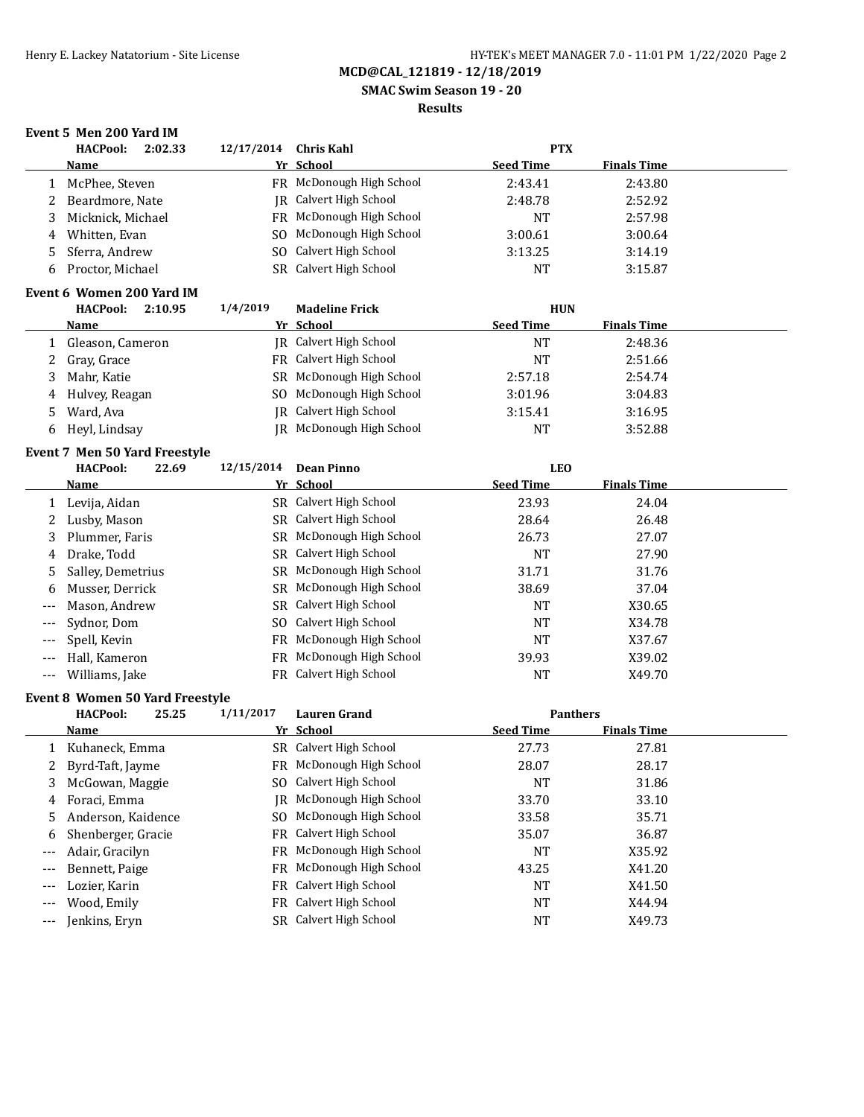**SMAC Swim Season 19 - 20**

#### **Results**

### **Event 5 Men 200 Yard IM**

|              | <b>HACPool:</b><br>2:02.33             | 12/17/2014     | <b>Chris Kahl</b>             | <b>PTX</b>       |                    |  |
|--------------|----------------------------------------|----------------|-------------------------------|------------------|--------------------|--|
|              | <b>Name</b>                            |                | Yr School                     | <b>Seed Time</b> | <b>Finals Time</b> |  |
| $\mathbf{1}$ | McPhee, Steven                         |                | FR McDonough High School      | 2:43.41          | 2:43.80            |  |
| 2            | Beardmore, Nate                        |                | <b>IR</b> Calvert High School | 2:48.78          | 2:52.92            |  |
| 3            | Micknick, Michael                      |                | FR McDonough High School      | <b>NT</b>        | 2:57.98            |  |
| 4            | Whitten, Evan                          | SO.            | McDonough High School         | 3:00.61          | 3:00.64            |  |
| 5            | Sferra, Andrew                         | S <sub>O</sub> | Calvert High School           | 3:13.25          | 3:14.19            |  |
| 6            | Proctor, Michael                       | SR             | Calvert High School           | <b>NT</b>        | 3:15.87            |  |
|              | Event 6 Women 200 Yard IM              |                |                               |                  |                    |  |
|              | <b>HACPool:</b><br>2:10.95             | 1/4/2019       | <b>Madeline Frick</b>         | <b>HUN</b>       |                    |  |
|              | <u>Name</u>                            |                | Yr School                     | <b>Seed Time</b> | <b>Finals Time</b> |  |
| $\mathbf{1}$ | Gleason, Cameron                       |                | JR Calvert High School        | <b>NT</b>        | 2:48.36            |  |
| 2            | Gray, Grace                            |                | FR Calvert High School        | <b>NT</b>        | 2:51.66            |  |
| 3            | Mahr, Katie                            |                | SR McDonough High School      | 2:57.18          | 2:54.74            |  |
| 4            | Hulvey, Reagan                         | SO.            | McDonough High School         | 3:01.96          | 3:04.83            |  |
| 5            | Ward, Ava                              | IR.            | Calvert High School           | 3:15.41          | 3:16.95            |  |
| 6            | Heyl, Lindsay                          |                | JR McDonough High School      | <b>NT</b>        | 3:52.88            |  |
|              | <b>Event 7 Men 50 Yard Freestyle</b>   |                |                               |                  |                    |  |
|              | <b>HACPool:</b><br>22.69               | 12/15/2014     | <b>Dean Pinno</b>             | <b>LEO</b>       |                    |  |
|              | Name                                   |                | Yr School                     | <b>Seed Time</b> | <b>Finals Time</b> |  |
|              | 1 Levija, Aidan                        |                | SR Calvert High School        | 23.93            | 24.04              |  |
| 2            | Lusby, Mason                           |                | SR Calvert High School        | 28.64            | 26.48              |  |
| 3            | Plummer, Faris                         |                | SR McDonough High School      | 26.73            | 27.07              |  |
| 4            | Drake, Todd                            |                | SR Calvert High School        | <b>NT</b>        | 27.90              |  |
| 5            | Salley, Demetrius                      |                | SR McDonough High School      | 31.71            | 31.76              |  |
| 6            | Musser, Derrick                        | SR             | McDonough High School         | 38.69            | 37.04              |  |
| $---$        | Mason, Andrew                          |                | SR Calvert High School        | <b>NT</b>        | X30.65             |  |
| $---$        | Sydnor, Dom                            | SO.            | Calvert High School           | <b>NT</b>        | X34.78             |  |
|              | Spell, Kevin                           |                | FR McDonough High School      | <b>NT</b>        | X37.67             |  |
| $---$        | Hall, Kameron                          | FR             | McDonough High School         | 39.93            | X39.02             |  |
| $---$        | Williams, Jake                         |                | FR Calvert High School        | <b>NT</b>        | X49.70             |  |
|              | <b>Event 8 Women 50 Yard Freestyle</b> |                |                               |                  |                    |  |
|              | <b>HACPool:</b><br>25.25               | 1/11/2017      | <b>Lauren Grand</b>           | <b>Panthers</b>  |                    |  |
|              | Name                                   |                | Yr School                     | <b>Seed Time</b> | <b>Finals Time</b> |  |
| $\mathbf{1}$ | Kuhaneck, Emma                         |                | SR Calvert High School        | 27.73            | 27.81              |  |
| 2            | Byrd-Taft, Jayme                       |                | FR McDonough High School      | 28.07            | 28.17              |  |
| 3            | McGowan, Maggie                        |                | SO Calvert High School        | <b>NT</b>        | 31.86              |  |
| 4            | Foraci, Emma                           |                | JR McDonough High School      | 33.70            | 33.10              |  |

5 Anderson, Kaidence SO McDonough High School 33.58 35.71 6 Shenberger, Gracie FR Calvert High School 35.07 36.87 --- Adair, Gracilyn **FR McDonough High School** NT X35.92 --- Bennett, Paige FR McDonough High School 43.25 X41.20 --- Lozier, Karin **FR Calvert High School NT X41.50** -- Wood, Emily **FR** Calvert High School **NT** X44.94 --- Jenkins, Eryn SR Calvert High School NT NT X49.73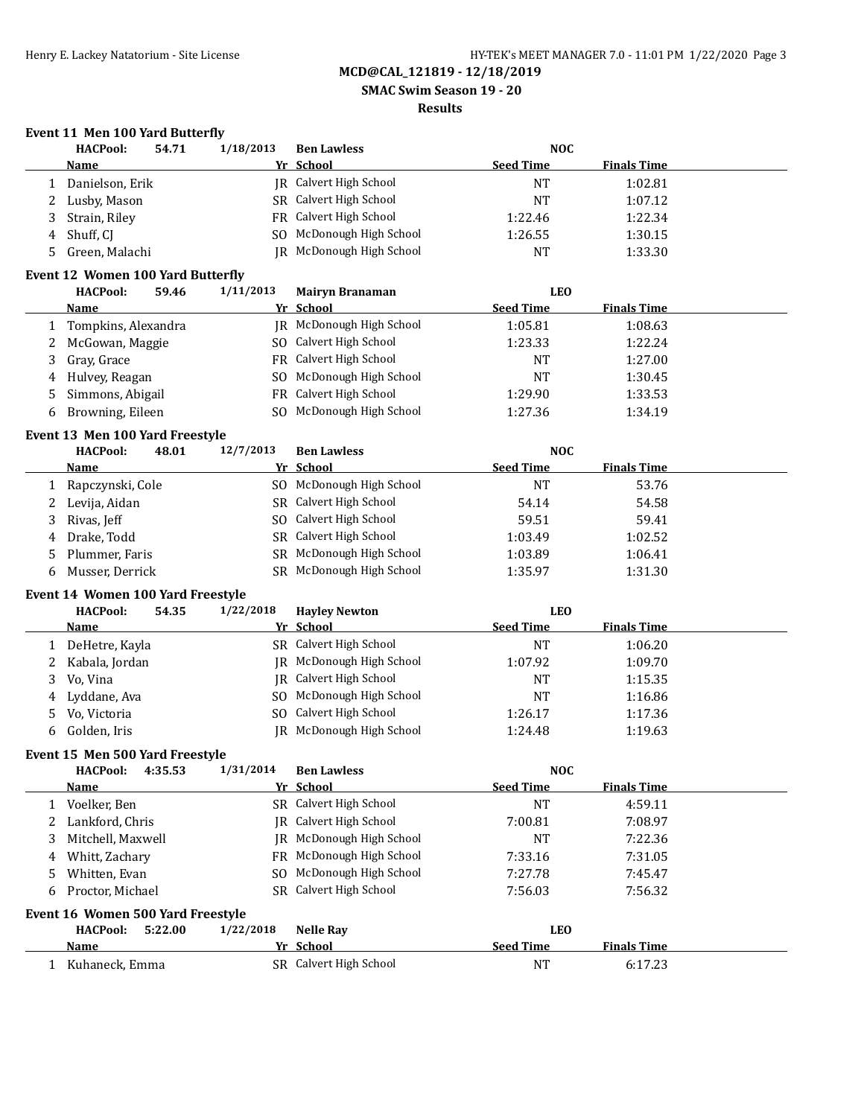**SMAC Swim Season 19 - 20**

### **Results**

# **Event 11 Men 100 Yard Butterfly**

|   | <b>HACPool:</b>                   | 54.71   | 1/18/2013 | <b>Ben Lawless</b>       | <b>NOC</b>       |                    |  |
|---|-----------------------------------|---------|-----------|--------------------------|------------------|--------------------|--|
|   | Name                              |         |           | Yr School                | <b>Seed Time</b> | <b>Finals Time</b> |  |
| 1 | Danielson, Erik                   |         |           | JR Calvert High School   | <b>NT</b>        | 1:02.81            |  |
| 2 | Lusby, Mason                      |         |           | SR Calvert High School   | <b>NT</b>        | 1:07.12            |  |
| 3 | Strain, Riley                     |         | FR        | Calvert High School      | 1:22.46          | 1:22.34            |  |
| 4 | Shuff, CJ                         |         | SO        | McDonough High School    | 1:26.55          | 1:30.15            |  |
| 5 | Green, Malachi                    |         | IR        | McDonough High School    | <b>NT</b>        | 1:33.30            |  |
|   |                                   |         |           |                          |                  |                    |  |
|   | Event 12 Women 100 Yard Butterfly |         |           |                          |                  |                    |  |
|   | <b>HACPool:</b>                   | 59.46   | 1/11/2013 | <b>Mairyn Branaman</b>   | <b>LEO</b>       |                    |  |
|   | Name                              |         |           | Yr School                | <b>Seed Time</b> | <b>Finals Time</b> |  |
| 1 | Tompkins, Alexandra               |         |           | JR McDonough High School | 1:05.81          | 1:08.63            |  |
| 2 | McGowan, Maggie                   |         |           | SO Calvert High School   | 1:23.33          | 1:22.24            |  |
| 3 | Gray, Grace                       |         |           | FR Calvert High School   | NT               | 1:27.00            |  |
| 4 | Hulvey, Reagan                    |         | SO.       | McDonough High School    | <b>NT</b>        | 1:30.45            |  |
| 5 | Simmons, Abigail                  |         | <b>FR</b> | Calvert High School      | 1:29.90          | 1:33.53            |  |
| 6 | Browning, Eileen                  |         | SO.       | McDonough High School    | 1:27.36          | 1:34.19            |  |
|   | Event 13 Men 100 Yard Freestyle   |         |           |                          |                  |                    |  |
|   | <b>HACPool:</b>                   | 48.01   | 12/7/2013 | <b>Ben Lawless</b>       | <b>NOC</b>       |                    |  |
|   | Name                              |         |           | Yr School                | <b>Seed Time</b> | <b>Finals Time</b> |  |
| 1 | Rapczynski, Cole                  |         |           | SO McDonough High School | <b>NT</b>        | 53.76              |  |
| 2 | Levija, Aidan                     |         |           | SR Calvert High School   | 54.14            | 54.58              |  |
| 3 | Rivas, Jeff                       |         | SO.       | Calvert High School      | 59.51            | 59.41              |  |
| 4 | Drake, Todd                       |         |           | SR Calvert High School   | 1:03.49          | 1:02.52            |  |
| 5 | Plummer, Faris                    |         |           | SR McDonough High School | 1:03.89          | 1:06.41            |  |
| 6 | Musser, Derrick                   |         |           | SR McDonough High School | 1:35.97          | 1:31.30            |  |
|   |                                   |         |           |                          |                  |                    |  |
|   | Event 14 Women 100 Yard Freestyle |         |           |                          |                  |                    |  |
|   | <b>HACPool:</b>                   | 54.35   | 1/22/2018 | <b>Hayley Newton</b>     | <b>LEO</b>       |                    |  |
|   | <u>Name</u>                       |         |           | Yr School                | <b>Seed Time</b> | <b>Finals Time</b> |  |
| 1 | DeHetre, Kayla                    |         |           | SR Calvert High School   | <b>NT</b>        | 1:06.20            |  |
| 2 | Kabala, Jordan                    |         | IR        | McDonough High School    | 1:07.92          | 1:09.70            |  |
| 3 | Vo, Vina                          |         | IR        | Calvert High School      | <b>NT</b>        | 1:15.35            |  |
| 4 | Lyddane, Ava                      |         | SO        | McDonough High School    | NT               | 1:16.86            |  |
| 5 | Vo, Victoria                      |         | SO        | Calvert High School      | 1:26.17          | 1:17.36            |  |
| 6 | Golden, Iris                      |         |           | JR McDonough High School | 1:24.48          | 1:19.63            |  |
|   | Event 15 Men 500 Yard Freestyle   |         |           |                          |                  |                    |  |
|   | <b>HACPool:</b>                   | 4:35.53 | 1/31/2014 | <b>Ben Lawless</b>       | <b>NOC</b>       |                    |  |
|   | <b>Name</b>                       |         |           | Yr School                | <b>Seed Time</b> | <b>Finals Time</b> |  |
| 1 | Voelker, Ben                      |         |           | SR Calvert High School   | <b>NT</b>        | 4:59.11            |  |
| 2 | Lankford, Chris                   |         | IR        | Calvert High School      | 7:00.81          | 7:08.97            |  |
| 3 | Mitchell, Maxwell                 |         | IR        | McDonough High School    | <b>NT</b>        | 7:22.36            |  |
| 4 | Whitt, Zachary                    |         | FR        | McDonough High School    | 7:33.16          | 7:31.05            |  |
| 5 | Whitten, Evan                     |         | SO        | McDonough High School    | 7:27.78          | 7:45.47            |  |
| 6 | Proctor, Michael                  |         | SR        | Calvert High School      | 7:56.03          | 7:56.32            |  |
|   |                                   |         |           |                          |                  |                    |  |
|   | Event 16 Women 500 Yard Freestyle |         |           |                          |                  |                    |  |
|   | <b>HACPool:</b>                   | 5:22.00 | 1/22/2018 | <b>Nelle Ray</b>         | <b>LEO</b>       |                    |  |
|   | Name                              |         |           | Yr School                | <b>Seed Time</b> | <b>Finals Time</b> |  |
|   | 1 Kuhaneck, Emma                  |         |           | SR Calvert High School   | <b>NT</b>        | 6:17.23            |  |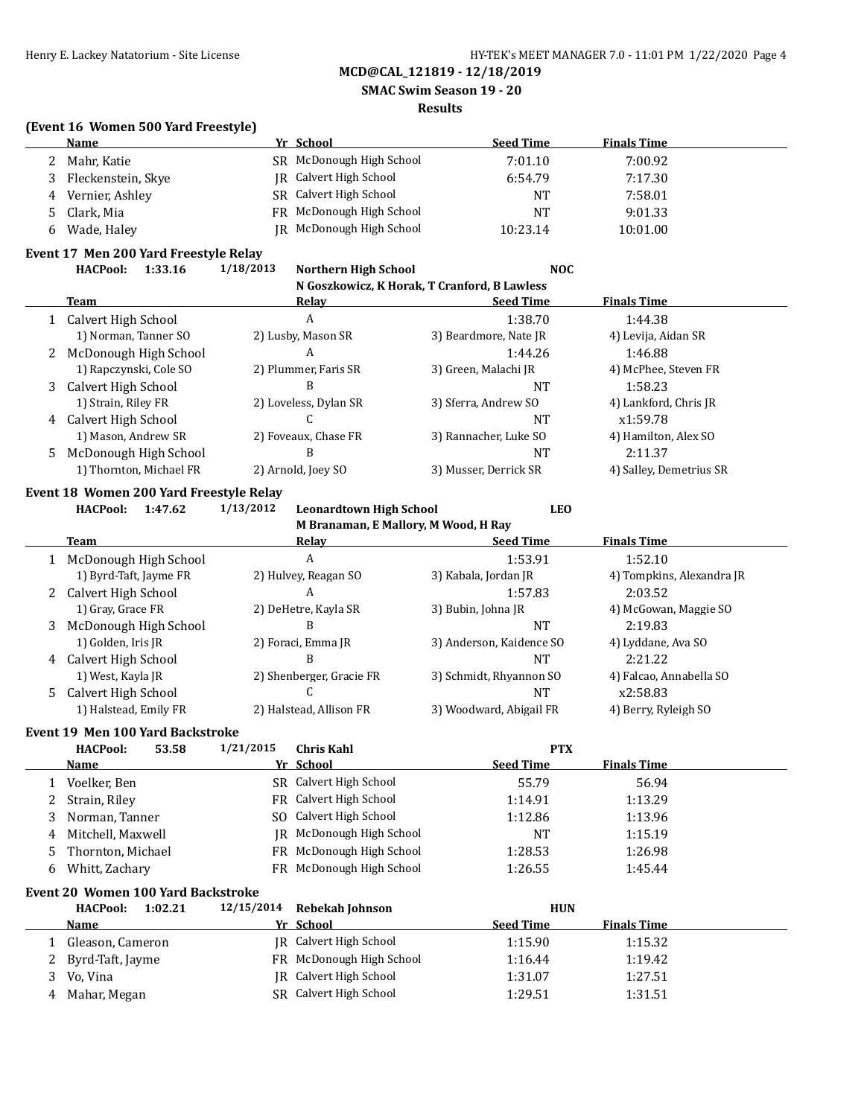**SMAC Swim Season 19 - 20**

#### **Results**

#### **(Event 16 Women 500 Yard Freestyle)**

|   | Name               | Yr School                | <b>Seed Time</b> | <b>Finals Time</b> |
|---|--------------------|--------------------------|------------------|--------------------|
|   | Mahr. Katie        | SR McDonough High School | 7:01.10          | 7:00.92            |
|   | Fleckenstein, Skye | IR Calvert High School   | 6:54.79          | 7:17.30            |
| 4 | Vernier, Ashley    | SR Calvert High School   | NT               | 7:58.01            |
|   | Clark, Mia         | FR McDonough High School | NΤ               | 9:01.33            |
| h | Wade, Haley        | JR McDonough High School | 10:23.14         | 10:01.00           |

#### **Event 17 Men 200 Yard Freestyle Relay**

**HACPool: 1:33.16 1/18/2013 Northern High School NOC N Goszkowicz, K Horak, T Cranford, B Lawless**

| <b>Team</b>             | Relay                 | <b>Seed Time</b>      | <b>Finals Time</b>      |
|-------------------------|-----------------------|-----------------------|-------------------------|
| 1 Calvert High School   | A                     | 1:38.70               | 1:44.38                 |
| 1) Norman, Tanner SO    | 2) Lusby, Mason SR    | 3) Beardmore, Nate JR | 4) Levija, Aidan SR     |
| 2 McDonough High School | A                     | 1:44.26               | 1:46.88                 |
| 1) Rapczynski, Cole SO  | 2) Plummer, Faris SR  | 3) Green, Malachi JR  | 4) McPhee, Steven FR    |
| 3 Calvert High School   |                       | NT                    | 1:58.23                 |
| 1) Strain, Riley FR     | 2) Loveless, Dylan SR | 3) Sferra, Andrew SO  | 4) Lankford, Chris JR   |
| 4 Calvert High School   |                       | <b>NT</b>             | x1:59.78                |
| 1) Mason, Andrew SR     | 2) Foveaux, Chase FR  | 3) Rannacher, Luke SO | 4) Hamilton, Alex SO    |
| 5 McDonough High School | в                     | <b>NT</b>             | 2:11.37                 |
| 1) Thornton, Michael FR | 2) Arnold, Joey SO    | 3) Musser, Derrick SR | 4) Salley, Demetrius SR |
|                         |                       |                       |                         |

# **Event 18 Women 200 Yard Freestyle Relay**

**HACPool: 1:47.62 1/13/2012 Leonardtown High School LEO M Branaman, E Mallory, M Wood, H Ray**

|   | M DI Anaman, E Manoi y, M Wood, II Ray |                          |                          |                           |  |  |  |  |  |
|---|----------------------------------------|--------------------------|--------------------------|---------------------------|--|--|--|--|--|
|   | Team                                   | Relav                    | <b>Seed Time</b>         | <b>Finals Time</b>        |  |  |  |  |  |
|   | McDonough High School                  | A                        | 1:53.91                  | 1:52.10                   |  |  |  |  |  |
|   | 1) Byrd-Taft, Jayme FR                 | 2) Hulvey, Reagan SO     | 3) Kabala, Jordan JR     | 4) Tompkins, Alexandra JR |  |  |  |  |  |
| 2 | Calvert High School                    | А                        | 1:57.83                  | 2:03.52                   |  |  |  |  |  |
|   | 1) Gray, Grace FR                      | 2) DeHetre, Kayla SR     | 3) Bubin, Johna JR       | 4) McGowan, Maggie SO     |  |  |  |  |  |
| 3 | McDonough High School                  | B                        | NT                       | 2:19.83                   |  |  |  |  |  |
|   | 1) Golden, Iris JR                     | 2) Foraci, Emma JR       | 3) Anderson, Kaidence SO | 4) Lyddane, Ava SO        |  |  |  |  |  |
| 4 | Calvert High School                    | В                        | NT                       | 2:21.22                   |  |  |  |  |  |
|   | 1) West, Kayla JR                      | 2) Shenberger, Gracie FR | 3) Schmidt, Rhyannon SO  | 4) Falcao, Annabella SO   |  |  |  |  |  |
| 5 | Calvert High School                    |                          | NT                       | x2:58.83                  |  |  |  |  |  |
|   | 1) Halstead, Emily FR                  | 2) Halstead, Allison FR  | 3) Woodward, Abigail FR  | 4) Berry, Ryleigh SO      |  |  |  |  |  |

#### **Event 19 Men 100 Yard Backstroke**

|    | <b>HACPool:</b><br>53.58 | 1/21/2015 | <b>Chris Kahl</b>        | <b>PTX</b>       |                    |  |
|----|--------------------------|-----------|--------------------------|------------------|--------------------|--|
|    | Name                     |           | Yr School                | <b>Seed Time</b> | <b>Finals Time</b> |  |
|    | Voelker, Ben             |           | SR Calvert High School   | 55.79            | 56.94              |  |
|    | Strain, Riley            |           | FR Calvert High School   | 1:14.91          | 1:13.29            |  |
| 3. | Norman, Tanner           |           | SO Calvert High School   | 1:12.86          | 1:13.96            |  |
|    | 4 Mitchell, Maxwell      |           | IR McDonough High School | NT               | 1:15.19            |  |
| 5. | Thornton, Michael        |           | FR McDonough High School | 1:28.53          | 1:26.98            |  |
| 6  | Whitt, Zachary           |           | FR McDonough High School | 1:26.55          | 1:45.44            |  |

### **Event 20 Women 100 Yard Backstroke**

| <b>HACPool:</b><br>1:02.21 | 12/15/2014 Rebekah Johnson | <b>HUN</b>                             |  |
|----------------------------|----------------------------|----------------------------------------|--|
| <b>Name</b>                | Yr School                  | <b>Seed Time</b><br><b>Finals Time</b> |  |
| Gleason, Cameron           | IR Calvert High School     | 1:15.90<br>1:15.32                     |  |
| 2 Byrd-Taft, Jayme         | FR McDonough High School   | 1:19.42<br>1:16.44                     |  |
| Vo, Vina                   | IR Calvert High School     | 1:27.51<br>1:31.07                     |  |
| 4 Mahar, Megan             | SR Calvert High School     | 1:31.51<br>1:29.51                     |  |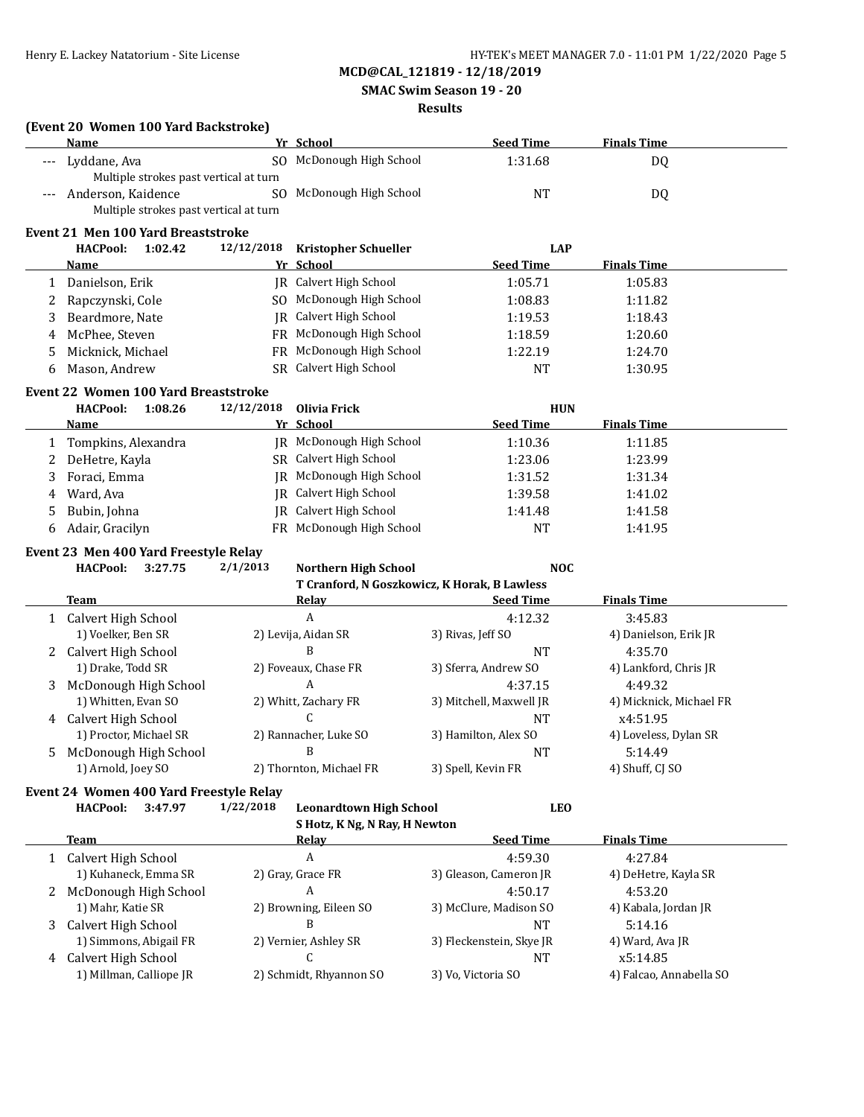**(Event 20 Women 100 Yard Backstroke)**

# **MCD@CAL\_121819 - 12/18/2019**

 **SMAC Swim Season 19 - 20**

#### **Results**

|    | Name                                             |            | Yr School                                    | <b>Seed Time</b>               | <b>Finals Time</b>                  |  |
|----|--------------------------------------------------|------------|----------------------------------------------|--------------------------------|-------------------------------------|--|
|    | Lyddane, Ava                                     |            | SO McDonough High School                     | 1:31.68                        | DQ                                  |  |
|    | Multiple strokes past vertical at turn           |            |                                              |                                |                                     |  |
|    | Anderson, Kaidence                               |            | SO McDonough High School                     | <b>NT</b>                      | DQ                                  |  |
|    | Multiple strokes past vertical at turn           |            |                                              |                                |                                     |  |
|    | <b>Event 21 Men 100 Yard Breaststroke</b>        |            |                                              |                                |                                     |  |
|    | <b>HACPool:</b><br>1:02.42                       | 12/12/2018 | <b>Kristopher Schueller</b>                  | <b>LAP</b>                     |                                     |  |
|    | <u>Name</u>                                      |            | Yr School                                    | <b>Seed Time</b>               | <b>Finals Time</b>                  |  |
| 1  | Danielson, Erik                                  |            | JR Calvert High School                       | 1:05.71                        | 1:05.83                             |  |
| 2  | Rapczynski, Cole                                 |            | SO McDonough High School                     | 1:08.83                        | 1:11.82                             |  |
| 3  | Beardmore, Nate                                  |            | <b>IR</b> Calvert High School                | 1:19.53                        | 1:18.43                             |  |
| 4  | McPhee, Steven                                   |            | FR McDonough High School                     | 1:18.59                        | 1:20.60                             |  |
| 5  | Micknick, Michael                                |            | FR McDonough High School                     | 1:22.19                        | 1:24.70                             |  |
| 6  | Mason, Andrew                                    |            | SR Calvert High School                       | <b>NT</b>                      | 1:30.95                             |  |
|    | <b>Event 22 Women 100 Yard Breaststroke</b>      |            |                                              |                                |                                     |  |
|    | <b>HACPool:</b><br>1:08.26                       | 12/12/2018 | <b>Olivia Frick</b>                          | <b>HUN</b>                     |                                     |  |
|    | Name                                             |            | Yr School                                    | <b>Seed Time</b>               | <b>Finals Time</b>                  |  |
| 1  | Tompkins, Alexandra                              |            | JR McDonough High School                     | 1:10.36                        | 1:11.85                             |  |
| 2  | DeHetre, Kayla                                   |            | SR Calvert High School                       | 1:23.06                        | 1:23.99                             |  |
| 3  | Foraci, Emma                                     |            | JR McDonough High School                     | 1:31.52                        | 1:31.34                             |  |
| 4  | Ward, Ava                                        | IR         | Calvert High School                          | 1:39.58                        | 1:41.02                             |  |
| 5  | Bubin, Johna                                     | IR         | Calvert High School                          | 1:41.48                        | 1:41.58                             |  |
| 6  | Adair, Gracilyn                                  |            | FR McDonough High School                     | <b>NT</b>                      | 1:41.95                             |  |
|    |                                                  |            |                                              |                                |                                     |  |
|    | Event 23 Men 400 Yard Freestyle Relay            |            |                                              |                                |                                     |  |
|    | <b>HACPool:</b><br>3:27.75                       | 2/1/2013   | <b>Northern High School</b>                  | <b>NOC</b>                     |                                     |  |
|    |                                                  |            | T Cranford, N Goszkowicz, K Horak, B Lawless |                                |                                     |  |
|    | <b>Team</b>                                      |            | <b>Relay</b><br>A                            | <u>Seed Time</u>               | <b>Finals Time</b>                  |  |
|    | 1 Calvert High School<br>1) Voelker, Ben SR      |            | 2) Levija, Aidan SR                          | 4:12.32                        | 3:45.83                             |  |
|    | Calvert High School                              |            | B                                            | 3) Rivas, Jeff SO<br><b>NT</b> | 4) Danielson, Erik JR<br>4:35.70    |  |
| 2  | 1) Drake, Todd SR                                |            | 2) Foveaux, Chase FR                         | 3) Sferra, Andrew SO           | 4) Lankford, Chris JR               |  |
| 3  | McDonough High School                            |            | A                                            | 4:37.15                        | 4:49.32                             |  |
|    | 1) Whitten, Evan SO                              |            | 2) Whitt, Zachary FR                         | 3) Mitchell, Maxwell JR        | 4) Micknick, Michael FR             |  |
| 4  | Calvert High School                              |            | C                                            | <b>NT</b>                      | x4:51.95                            |  |
|    | 1) Proctor, Michael SR                           |            | 2) Rannacher, Luke SO                        | 3) Hamilton, Alex SO           | 4) Loveless, Dylan SR               |  |
| 5. | McDonough High School                            |            | B                                            | <b>NT</b>                      | 5:14.49                             |  |
|    | 1) Arnold, Joey SO                               |            | 2) Thornton, Michael FR                      | 3) Spell, Kevin FR             | 4) Shuff, CJ SO                     |  |
|    |                                                  |            |                                              |                                |                                     |  |
|    | Event 24 Women 400 Yard Freestyle Relay          |            |                                              |                                |                                     |  |
|    | 3:47.97<br><b>HACPool:</b>                       | 1/22/2018  | <b>Leonardtown High School</b>               | <b>LEO</b>                     |                                     |  |
|    | <b>Team</b>                                      |            | S Hotz, K Ng, N Ray, H Newton<br>Relay       | <b>Seed Time</b>               | <b>Finals Time</b>                  |  |
|    |                                                  |            | $\boldsymbol{A}$                             | 4:59.30                        | 4:27.84                             |  |
|    | 1 Calvert High School<br>1) Kuhaneck, Emma SR    |            | 2) Gray, Grace FR                            | 3) Gleason, Cameron JR         | 4) DeHetre, Kayla SR                |  |
|    |                                                  |            |                                              |                                |                                     |  |
|    |                                                  |            |                                              |                                |                                     |  |
| 2  | McDonough High School                            |            | A                                            | 4:50.17                        | 4:53.20                             |  |
|    | 1) Mahr, Katie SR                                |            | 2) Browning, Eileen SO                       | 3) McClure, Madison SO         | 4) Kabala, Jordan JR                |  |
| 3  | Calvert High School                              |            | B                                            | <b>NT</b>                      | 5:14.16                             |  |
|    | 1) Simmons, Abigail FR                           |            | 2) Vernier, Ashley SR                        | 3) Fleckenstein, Skye JR       | 4) Ward, Ava JR                     |  |
|    | 4 Calvert High School<br>1) Millman, Calliope JR |            | C<br>2) Schmidt, Rhyannon SO                 | NT<br>3) Vo, Victoria SO       | x5:14.85<br>4) Falcao, Annabella SO |  |